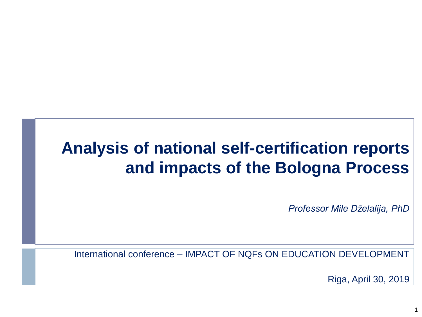#### **Analysis of national self-certification reports and impacts of the Bologna Process**

*Professor Mile Dželalija, PhD*

International conference – IMPACT OF NQFs ON EDUCATION DEVELOPMENT

Riga, April 30, 2019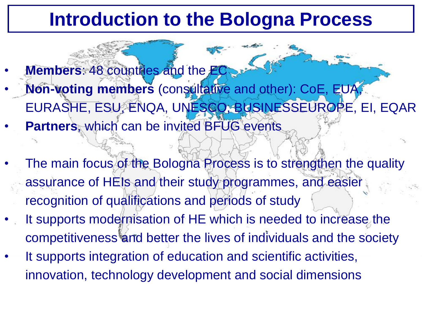#### **Introduction to the Bologna Process**

- **Members: 48 countries and the EC** • **Non-voting members** (consultative and other): CoE, EUA, EURASHE, ESU, ENQA, UNESCO, BUSINESSEUROPE, EI, EQAR
- **Partners**, which can be invited BFUG events
- The main focus of the Bologna Process is to strengthen the quality assurance of HEIs and their study programmes, and easier recognition of qualifications and periods of study
- It supports modernisation of HE which is needed to increase the competitiveness and better the lives of individuals and the society
- It supports integration of education and scientific activities, innovation, technology development and social dimensions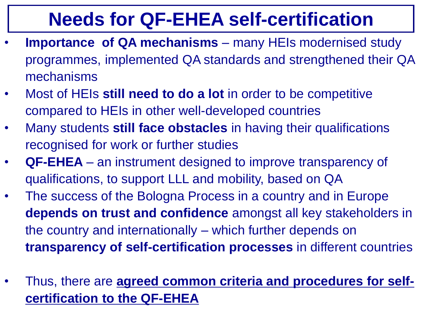### **Needs for QF-EHEA self-certification**

- **Importance of QA mechanisms** many HEIs modernised study programmes, implemented QA standards and strengthened their QA mechanisms
- Most of HEIs **still need to do a lot** in order to be competitive compared to HEIs in other well-developed countries
- Many students **still face obstacles** in having their qualifications recognised for work or further studies
- **QF-EHEA**  an instrument designed to improve transparency of qualifications, to support LLL and mobility, based on QA
- The success of the Bologna Process in a country and in Europe **depends on trust and confidence** amongst all key stakeholders in the country and internationally – which further depends on **transparency of self-certification processes** in different countries
- Thus, there are **agreed common criteria and procedures for selfcertification to the QF-EHEA**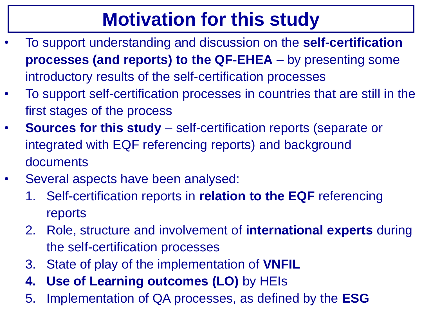# **Motivation for this study**

- To support understanding and discussion on the **self-certification processes (and reports) to the QF-EHEA** – by presenting some introductory results of the self-certification processes
- To support self-certification processes in countries that are still in the first stages of the process
- **Sources for this study**  self-certification reports (separate or integrated with EQF referencing reports) and background documents
- Several aspects have been analysed:
	- 1. Self-certification reports in **relation to the EQF** referencing reports
	- 2. Role, structure and involvement of **international experts** during the self-certification processes
	- 3. State of play of the implementation of **VNFIL**
	- **4. Use of Learning outcomes (LO)** by HEIs
	- 5. Implementation of QA processes, as defined by the **ESG**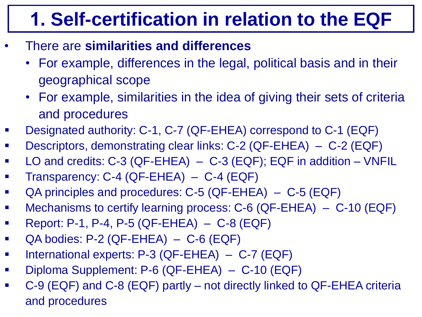# **1. Self-certification in relation to the EQF**

- There are **similarities and differences**
	- For example, differences in the legal, political basis and in their geographical scope
	- For example, similarities in the idea of giving their sets of criteria and procedures
- Designated authority: C-1, C-7 (QF-EHEA) correspond to C-1 (EQF)
- Descriptors, demonstrating clear links: C-2 (QF-EHEA) C-2 (EQF)
- LO and credits: C-3 (QF-EHEA) C-3 (EQF); EQF in addition VNFIL
- Transparency: C-4 (QF-EHEA) C-4 (EQF)
- QA principles and procedures: C-5 (QF-EHEA) C-5 (EQF)
- Mechanisms to certify learning process: C-6 (QF-EHEA) C-10 (EQF)
- **Report: P-1, P-4, P-5 (QF-EHEA) C-8 (EQF)**
- $\blacksquare$  QA bodies: P-2 (QF-EHEA) C-6 (EQF)
- International experts: P-3 (QF-EHEA) C-7 (EQF)
- Diploma Supplement: P-6 (QF-EHEA) C-10 (EQF)
- C-9 (EQF) and C-8 (EQF) partly not directly linked to QF-EHEA criteria and procedures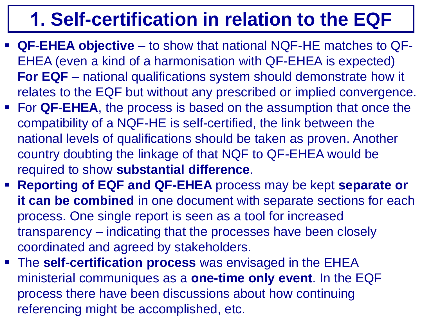# **1. Self-certification in relation to the EQF**

- **QF-EHEA objective**  to show that national NQF-HE matches to QF-EHEA (even a kind of a harmonisation with QF-EHEA is expected) **For EQF –** national qualifications system should demonstrate how it relates to the EQF but without any prescribed or implied convergence.
- For **QF-EHEA**, the process is based on the assumption that once the compatibility of a NQF-HE is self-certified, the link between the national levels of qualifications should be taken as proven. Another country doubting the linkage of that NQF to QF-EHEA would be required to show **substantial difference**.
- **Reporting of EQF and QF-EHEA** process may be kept **separate or it can be combined** in one document with separate sections for each process. One single report is seen as a tool for increased transparency – indicating that the processes have been closely coordinated and agreed by stakeholders.
- The **self-certification process** was envisaged in the EHEA ministerial communiques as a **one-time only event**. In the EQF process there have been discussions about how continuing referencing might be accomplished, etc.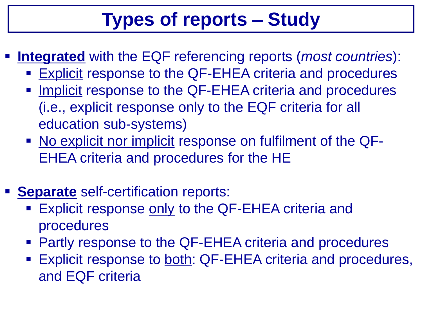# **Types of reports – Study**

- **Integrated** with the EQF referencing reports (*most countries*):
	- Explicit response to the QF-EHEA criteria and procedures
	- **Implicit response to the QF-EHEA criteria and procedures** (i.e., explicit response only to the EQF criteria for all education sub-systems)
	- No explicit nor implicit response on fulfilment of the QF-EHEA criteria and procedures for the HE
- **Separate** self-certification reports:
	- **Explicit response only to the QF-EHEA criteria and** procedures
	- Partly response to the QF-EHEA criteria and procedures
	- **Explicit response to both: QF-EHEA criteria and procedures,** and EQF criteria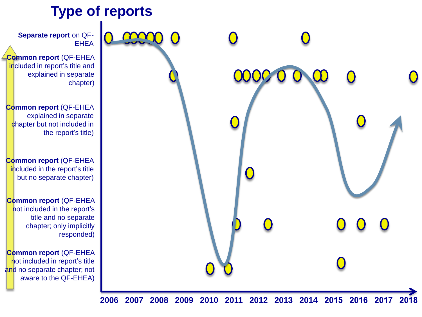

**Common report** (QF-EHEA included in report's title and

explained in separate

**Common report** (QF-EHEA explained in separate chapter but not included in the report's title)

**Common report** (QF-EHEA included in the report's title but no separate chapter)

**Common report** (QF-EHEA not included in the report's title and no separate chapter; only implicitly

**Common report** (QF-EHEA not included in report's title and no separate chapter; not aware to the QF-EHEA)

**2006 2007 2008 2009 2010 2011 2012 2013 2014 2015 2016 2017 2018**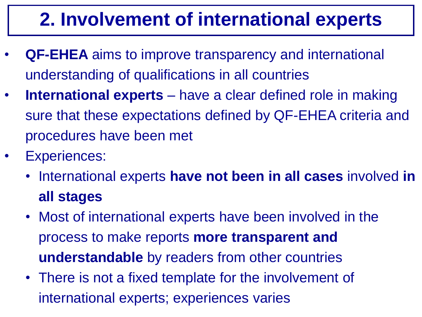# **2. Involvement of international experts**

- **QF-EHEA** aims to improve transparency and international understanding of qualifications in all countries
- **International experts**  have a clear defined role in making sure that these expectations defined by QF-EHEA criteria and procedures have been met
- Experiences:
	- International experts **have not been in all cases** involved **in all stages**
	- Most of international experts have been involved in the process to make reports **more transparent and understandable** by readers from other countries
	- There is not a fixed template for the involvement of international experts; experiences varies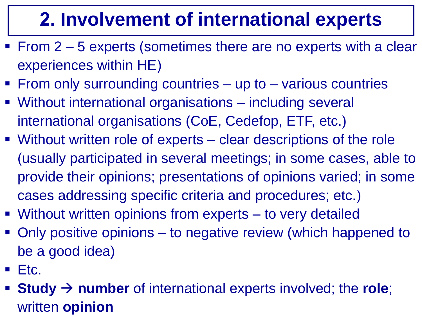# **2. Involvement of international experts**

- From 2 5 experts (sometimes there are no experts with a clear experiences within HE)
- From only surrounding countries up to various countries
- Without international organisations including several international organisations (CoE, Cedefop, ETF, etc.)
- Without written role of experts clear descriptions of the role (usually participated in several meetings; in some cases, able to provide their opinions; presentations of opinions varied; in some cases addressing specific criteria and procedures; etc.)
- Without written opinions from experts to very detailed
- Only positive opinions to negative review (which happened to be a good idea)
- $\blacksquare$  Etc.
- **Study**  $\rightarrow$  number of international experts involved; the role; written **opinion**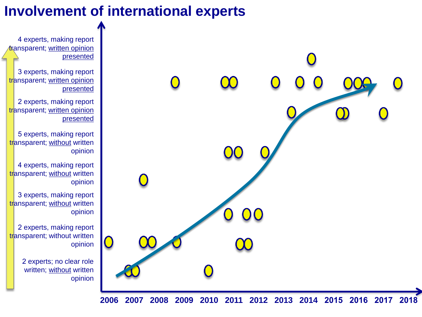#### **Involvement of international experts**

4 experts, making report transparent; written opinion presented

3 experts, making report transparent; written opinion presented

2 experts, making report transparent; written opinion presented

5 experts, making report transparent; without written opinion

4 experts, making report transparent; without written opinion

3 experts, making report transparent; without written opinion

2 experts, making report transparent; without written opinion

> 2 experts; no clear role written; without written opinion

> > **2006 2007 2008 2009 2010 2011 2012 2013 2014 2015 2016 2017 2018**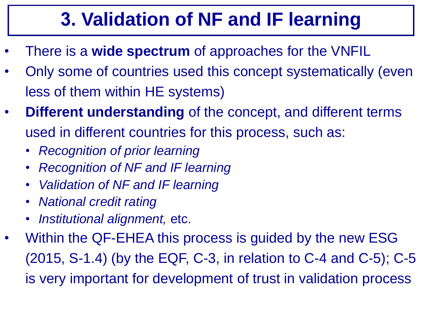# **3. Validation of NF and IF learning**

- There is a **wide spectrum** of approaches for the VNFIL
- Only some of countries used this concept systematically (even less of them within HE systems)
- **Different understanding** of the concept, and different terms used in different countries for this process, such as:
	- *Recognition of prior learning*
	- *Recognition of NF and IF learning*
	- *Validation of NF and IF learning*
	- *National credit rating*
	- *Institutional alignment,* etc.
- Within the QF-EHEA this process is guided by the new ESG (2015, S-1.4) (by the EQF, C-3, in relation to C-4 and C-5); C-5 is very important for development of trust in validation process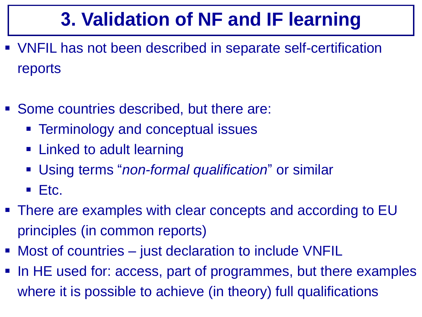# **3. Validation of NF and IF learning**

- VNFIL has not been described in separate self-certification reports
- Some countries described, but there are:
	- **Example 1 Ferminology and conceptual issues**
	- Linked to adult learning
	- Using terms "*non-formal qualification*" or similar
	- $\blacksquare$  Etc.
- There are examples with clear concepts and according to EU principles (in common reports)
- Most of countries just declaration to include VNFIL
- In HE used for: access, part of programmes, but there examples where it is possible to achieve (in theory) full qualifications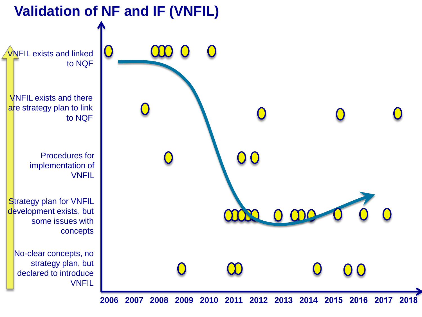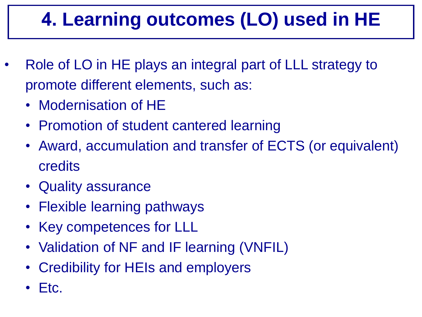# **4. Learning outcomes (LO) used in HE**

- Role of LO in HE plays an integral part of LLL strategy to promote different elements, such as:
	- Modernisation of HE
	- Promotion of student cantered learning
	- Award, accumulation and transfer of ECTS (or equivalent) credits
	- Quality assurance
	- Flexible learning pathways
	- Key competences for LLL
	- Validation of NF and IF learning (VNFIL)
	- Credibility for HEIs and employers
	- Etc.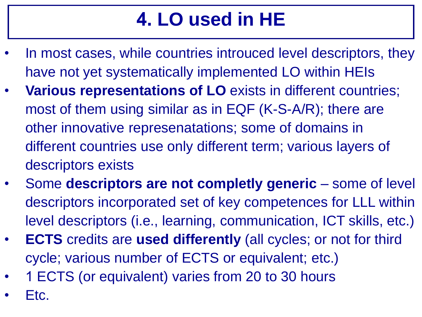# **4. LO used in HE**

- In most cases, while countries introuced level descriptors, they have not yet systematically implemented LO within HEIs
- **Various representations of LO** exists in different countries; most of them using similar as in EQF (K-S-A/R); there are other innovative represenatations; some of domains in different countries use only different term; various layers of descriptors exists
- Some **descriptors are not completly generic**  some of level descriptors incorporated set of key competences for LLL within level descriptors (i.e., learning, communication, ICT skills, etc.)
- **ECTS** credits are **used differently** (all cycles; or not for third cycle; various number of ECTS or equivalent; etc.)
- 1 ECTS (or equivalent) varies from 20 to 30 hours
- Etc.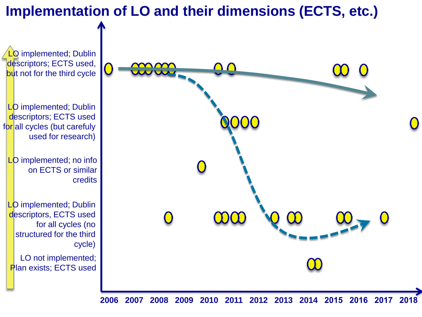#### **Implementation of LO and their dimensions (ECTS, etc.)**



**2006 2007 2008 2009 2010 2011 2012 2013 2014 2015 2016 2017 2018**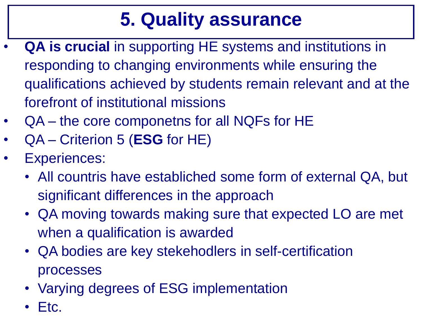### **5. Quality assurance**

- **QA is crucial** in supporting HE systems and institutions in responding to changing environments while ensuring the qualifications achieved by students remain relevant and at the forefront of institutional missions
- QA the core componetns for all NQFs for HE
- QA Criterion 5 (**ESG** for HE)
- Experiences:
	- All countris have establiched some form of external QA, but significant differences in the approach
	- QA moving towards making sure that expected LO are met when a qualification is awarded
	- QA bodies are key stekehodlers in self-certification processes
	- Varying degrees of ESG implementation
	- Etc.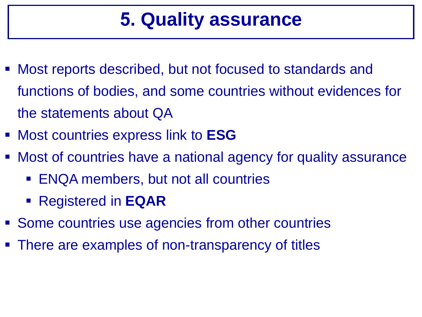#### **5. Quality assurance**

- Most reports described, but not focused to standards and functions of bodies, and some countries without evidences for the statements about QA
- Most countries express link to **ESG**
- Most of countries have a national agency for quality assurance
	- ENQA members, but not all countries
	- Registered in **EQAR**
- Some countries use agencies from other countries
- There are examples of non-transparency of titles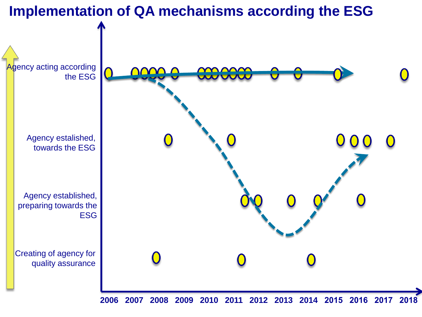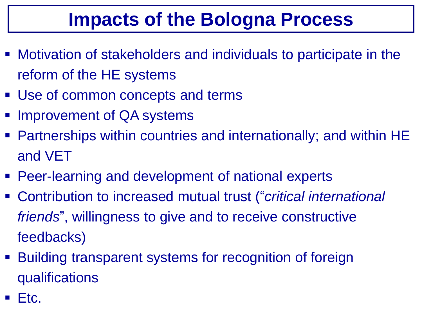### **Impacts of the Bologna Process**

- Motivation of stakeholders and individuals to participate in the reform of the HE systems
- Use of common concepts and terms
- Improvement of QA systems
- Partnerships within countries and internationally; and within HE and VET
- **Peer-learning and development of national experts**
- Contribution to increased mutual trust ("*critical international friends*", willingness to give and to receive constructive feedbacks)
- **Building transparent systems for recognition of foreign** qualifications
- Etc.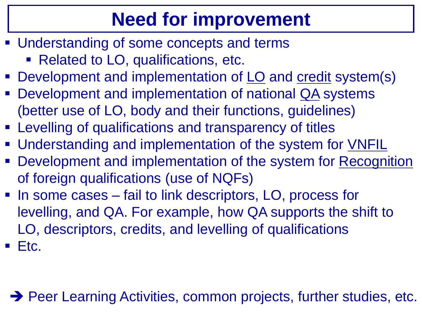# **Need for improvement**

- **Understanding of some concepts and terms** Related to LO, qualifications, etc.
- Development and implementation of LO and credit system(s)
- Development and implementation of national QA systems (better use of LO, body and their functions, guidelines)
- Levelling of qualifications and transparency of titles
- Understanding and implementation of the system for VNFIL
- Development and implementation of the system for Recognition of foreign qualifications (use of NQFs)
- In some cases fail to link descriptors, LO, process for levelling, and QA. For example, how QA supports the shift to LO, descriptors, credits, and levelling of qualifications
- $\blacksquare$  Etc.

→ Peer Learning Activities, common projects, further studies, etc.